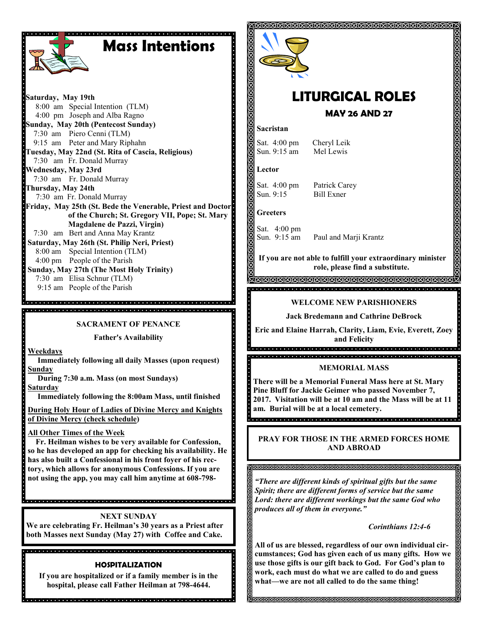

# **Mass Intentions**

**Saturday, May 19th** 8:00 am Special Intention (TLM) 4:00 pm Joseph and Alba Ragno **Sunday, May 20th (Pentecost Sunday)** 7:30 am Piero Cenni (TLM) 9:15 am Peter and Mary Riphahn **Tuesday, May 22nd (St. Rita of Cascia, Religious)** 7:30 am Fr. Donald Murray **Wednesday, May 23rd** 7:30 am Fr. Donald Murray **Thursday, May 24th**  7:30 am Fr. Donald Murray **Friday, May 25th (St. Bede the Venerable, Priest and Doctor of the Church; St. Gregory VII, Pope; St. Mary Magdalene de Pazzi, Virgin)** 7:30 am Bert and Anna May Krantz **Saturday, May 26th (St. Philip Neri, Priest)** 8:00 am Special Intention (TLM) 4:00 pm People of the Parish **Sunday, May 27th (The Most Holy Trinity)** 7:30 am Elisa Schnur (TLM)

9:15 am People of the Parish

**SACRAMENT OF PENANCE**

e<br>Spacioloj de la ciela de la ciela de de la ciela de del de la ciela de de de de la ciela de de 

**Father's Availability**

**Weekdays**

 **Immediately following all daily Masses (upon request) Sunday**

 **During 7:30 a.m. Mass (on most Sundays) Saturday**

 **Immediately following the 8:00am Mass, until finished** 

**During Holy Hour of Ladies of Divine Mercy and Knights of Divine Mercy (check schedule) so he has developed an app for checking his availability. He** 

**All Other Times of the Week** 

 **Fr. Heilman wishes to be very available for Confession, has also built a Confessional in his front foyer of his rectory, which allows for anonymous Confessions. If you are not using the app, you may call him anytime at 608-798-** 

**NEXT SUNDAY**

dia lata lata lata la lata lata la tata la lata la lata la lata la lata lata lata lata lata lata lata la lata lata lata la

**We are celebrating Fr. Heilman's 30 years as a Priest after both Masses next Sunday (May 27) with Coffee and Cake.**

### **HOSPITALIZATION**

**If you are hospitalized or if a family member is in the hospital, please call Father Heilman at 798-4644.**



# **LITURGICAL ROLES**

 **MAY 26 AND 27**

## **Sacristan**

Sat. 4:00 pm Cheryl Leik Sun. 9:15 am Mel Lewis

**Lector**

Sat. 4:00 pm Patrick Carey  $S$ un.  $9.15$  Bill Exner

## **Greeters**

Sat. 4:00 pm Sun. 9:15 am Paul and Marji Krantz

**If you are not able to fulfill your extraordinary minister role, please find a substitute.** 

## **WELCOME NEW PARISHIONERS**

**Jack Bredemann and Cathrine DeBrock**

**Eric and Elaine Harrah, Clarity, Liam, Evie, Everett, Zoey and Felicity**

### **MEMORIAL MASS**

**There will be a Memorial Funeral Mass here at St. Mary Pine Bluff for Jackie Geimer who passed November 7, 2017. Visitation will be at 10 am and the Mass will be at 11 am. Burial will be at a local cemetery.** 

**PRAY FOR THOSE IN THE ARMED FORCES HOME AND ABROAD**

#### 

*"There are different kinds of spiritual gifts but the same Spirit; there are different forms of service but the same Lord: there are different workings but the same God who produces all of them in everyone."*

### *Corinthians 12:4-6*

**All of us are blessed, regardless of our own individual circumstances; God has given each of us many gifts. How we use those gifts is our gift back to God. For God's plan to work, each must do what we are called to do and guess what—we are not all called to do the same thing!**

**INNINNINNINNINNINNIN**